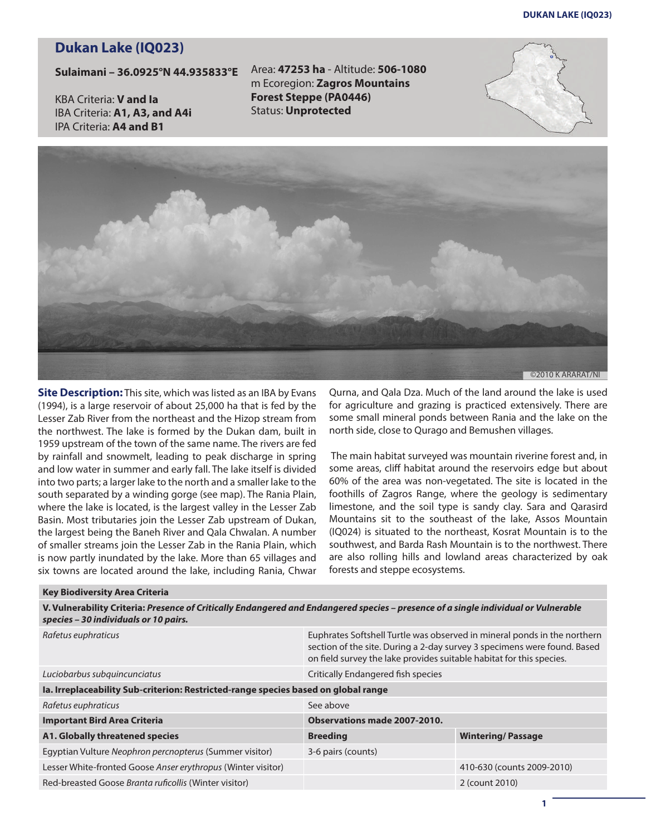## **Dukan Lake (IQ023)**

## **Sulaimani – 36.0925°N 44.935833°E**

KBA Criteria: **V and Ia** IBA Criteria: **A1, A3, and A4i** IPA Criteria: **A4 and B1**

Area: **47253 ha** - Altitude: **506-1080** m Ecoregion: **Zagros Mountains Forest Steppe (PA0446)** Status: **Unprotected**





**Site Description:** This site, which was listed as an IBA by Evans (1994), is a large reservoir of about 25,000 ha that is fed by the Lesser Zab River from the northeast and the Hizop stream from the northwest. The lake is formed by the Dukan dam, built in 1959 upstream of the town of the same name. The rivers are fed by rainfall and snowmelt, leading to peak discharge in spring and low water in summer and early fall. The lake itself is divided into two parts; a larger lake to the north and a smaller lake to the south separated by a winding gorge (see map). The Rania Plain, where the lake is located, is the largest valley in the Lesser Zab Basin. Most tributaries join the Lesser Zab upstream of Dukan, the largest being the Baneh River and Qala Chwalan. A number of smaller streams join the Lesser Zab in the Rania Plain, which is now partly inundated by the lake. More than 65 villages and six towns are located around the lake, including Rania, Chwar

Qurna, and Qala Dza. Much of the land around the lake is used for agriculture and grazing is practiced extensively. There are some small mineral ponds between Rania and the lake on the north side, close to Qurago and Bemushen villages.

The main habitat surveyed was mountain riverine forest and, in some areas, cliff habitat around the reservoirs edge but about 60% of the area was non-vegetated. The site is located in the foothills of Zagros Range, where the geology is sedimentary limestone, and the soil type is sandy clay. Sara and Qarasird Mountains sit to the southeast of the lake, Assos Mountain (IQ024) is situated to the northeast, Kosrat Mountain is to the southwest, and Barda Rash Mountain is to the northwest. There are also rolling hills and lowland areas characterized by oak forests and steppe ecosystems.

## **Key Biodiversity Area Criteria**

**V. Vulnerability Criteria:** *Presence of Critically Endangered and Endangered species – presence of a single individual or Vulnerable species – 30 individuals or 10 pairs.*

| Rafetus euphraticus                                                                | Euphrates Softshell Turtle was observed in mineral ponds in the northern<br>section of the site. During a 2-day survey 3 specimens were found. Based<br>on field survey the lake provides suitable habitat for this species. |                            |  |
|------------------------------------------------------------------------------------|------------------------------------------------------------------------------------------------------------------------------------------------------------------------------------------------------------------------------|----------------------------|--|
| Luciobarbus subquincunciatus                                                       | Critically Endangered fish species                                                                                                                                                                                           |                            |  |
| Ia. Irreplaceability Sub-criterion: Restricted-range species based on global range |                                                                                                                                                                                                                              |                            |  |
| Rafetus euphraticus                                                                | See above                                                                                                                                                                                                                    |                            |  |
| <b>Important Bird Area Criteria</b>                                                | Observations made 2007-2010.                                                                                                                                                                                                 |                            |  |
| A1. Globally threatened species                                                    | <b>Breeding</b>                                                                                                                                                                                                              | <b>Wintering/Passage</b>   |  |
| Eqyptian Vulture Neophron percnopterus (Summer visitor)                            | 3-6 pairs (counts)                                                                                                                                                                                                           |                            |  |
| Lesser White-fronted Goose Anser erythropus (Winter visitor)                       |                                                                                                                                                                                                                              | 410-630 (counts 2009-2010) |  |
| Red-breasted Goose Branta ruficollis (Winter visitor)                              |                                                                                                                                                                                                                              | 2 (count 2010)             |  |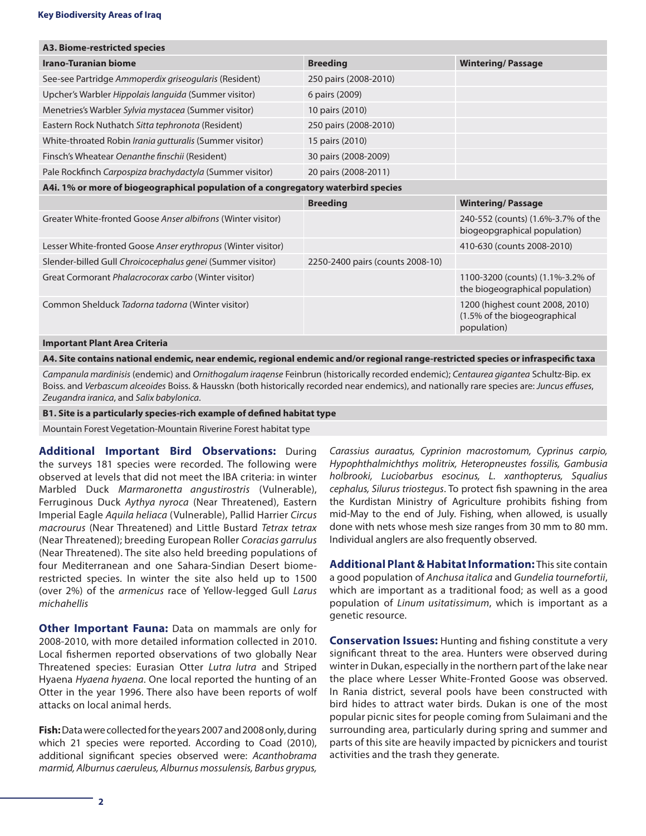| A3. Biome-restricted species                                                      |                                  |                                                                                |
|-----------------------------------------------------------------------------------|----------------------------------|--------------------------------------------------------------------------------|
| <b>Irano-Turanian biome</b>                                                       | <b>Breeding</b>                  | <b>Wintering/Passage</b>                                                       |
| See-see Partridge Ammoperdix griseogularis (Resident)                             | 250 pairs (2008-2010)            |                                                                                |
| Upcher's Warbler Hippolais languida (Summer visitor)                              | 6 pairs (2009)                   |                                                                                |
| Menetries's Warbler Sylvia mystacea (Summer visitor)                              | 10 pairs (2010)                  |                                                                                |
| Eastern Rock Nuthatch Sitta tephronota (Resident)                                 | 250 pairs (2008-2010)            |                                                                                |
| White-throated Robin Irania gutturalis (Summer visitor)                           | 15 pairs (2010)                  |                                                                                |
| Finsch's Wheatear Oenanthe finschii (Resident)                                    | 30 pairs (2008-2009)             |                                                                                |
| Pale Rockfinch Carpospiza brachydactyla (Summer visitor)                          | 20 pairs (2008-2011)             |                                                                                |
| A4i. 1% or more of biogeographical population of a congregatory waterbird species |                                  |                                                                                |
|                                                                                   | <b>Breeding</b>                  | <b>Wintering/Passage</b>                                                       |
| Greater White-fronted Goose Anser albifrons (Winter visitor)                      |                                  | 240-552 (counts) (1.6%-3.7% of the<br>biogeopgraphical population)             |
| Lesser White-fronted Goose Anser erythropus (Winter visitor)                      |                                  | 410-630 (counts 2008-2010)                                                     |
| Slender-billed Gull Chroicocephalus genei (Summer visitor)                        | 2250-2400 pairs (counts 2008-10) |                                                                                |
| Great Cormorant Phalacrocorax carbo (Winter visitor)                              |                                  | 1100-3200 (counts) (1.1%-3.2% of<br>the biogeographical population)            |
| Common Shelduck Tadorna tadorna (Winter visitor)                                  |                                  | 1200 (highest count 2008, 2010)<br>(1.5% of the biogeographical<br>population) |
|                                                                                   |                                  |                                                                                |

**A4. Site contains national endemic, near endemic, regional endemic and/or regional range-restricted species or infraspecific taxa**

*Campanula mardinisis* (endemic) and *Ornithogalum iraqense* Feinbrun (historically recorded endemic); *Centaurea gigantea* Schultz-Bip. ex Boiss. and *Verbascum alceoides* Boiss. & Hausskn (both historically recorded near endemics), and nationally rare species are: *Juncus effuses*, *Zeugandra iranica*, and *Salix babylonica*.

## **B1. Site is a particularly species-rich example of defined habitat type**

Mountain Forest Vegetation-Mountain Riverine Forest habitat type

**Additional Important Bird Observations:** During the surveys 181 species were recorded. The following were observed at levels that did not meet the IBA criteria: in winter Marbled Duck *Marmaronetta angustirostris* (Vulnerable), Ferruginous Duck *Aythya nyroca* (Near Threatened), Eastern Imperial Eagle *Aquila heliaca* (Vulnerable), Pallid Harrier *Circus macrourus* (Near Threatened) and Little Bustard *Tetrax tetrax* (Near Threatened); breeding European Roller *Coracias garrulus* (Near Threatened). The site also held breeding populations of four Mediterranean and one Sahara-Sindian Desert biomerestricted species. In winter the site also held up to 1500 (over 2%) of the *armenicus* race of Yellow-legged Gull *Larus michahellis*

**Other Important Fauna:** Data on mammals are only for 2008-2010, with more detailed information collected in 2010. Local fishermen reported observations of two globally Near Threatened species: Eurasian Otter *Lutra lutra* and Striped Hyaena *Hyaena hyaena*. One local reported the hunting of an Otter in the year 1996. There also have been reports of wolf attacks on local animal herds.

**Fish:** Data were collected for the years 2007 and 2008 only, during which 21 species were reported. According to Coad (2010), additional significant species observed were: *Acanthobrama marmid, Alburnus caeruleus, Alburnus mossulensis, Barbus grypus,* 

*Carassius auraatus, Cyprinion macrostomum, Cyprinus carpio, Hypophthalmichthys molitrix, Heteropneustes fossilis, Gambusia holbrooki, Luciobarbus esocinus, L. xanthopterus, Squalius cephalus, Silurus triostegus*. To protect fish spawning in the area the Kurdistan Ministry of Agriculture prohibits fishing from mid-May to the end of July. Fishing, when allowed, is usually done with nets whose mesh size ranges from 30 mm to 80 mm. Individual anglers are also frequently observed.

**Additional Plant & Habitat Information:** This site contain a good population of *Anchusa italica* and *Gundelia tournefortii*, which are important as a traditional food; as well as a good population of *Linum usitatissimum*, which is important as a genetic resource.

**Conservation Issues:** Hunting and fishing constitute a very significant threat to the area. Hunters were observed during winter in Dukan, especially in the northern part of the lake near the place where Lesser White-Fronted Goose was observed. In Rania district, several pools have been constructed with bird hides to attract water birds. Dukan is one of the most popular picnic sites for people coming from Sulaimani and the surrounding area, particularly during spring and summer and parts of this site are heavily impacted by picnickers and tourist activities and the trash they generate.